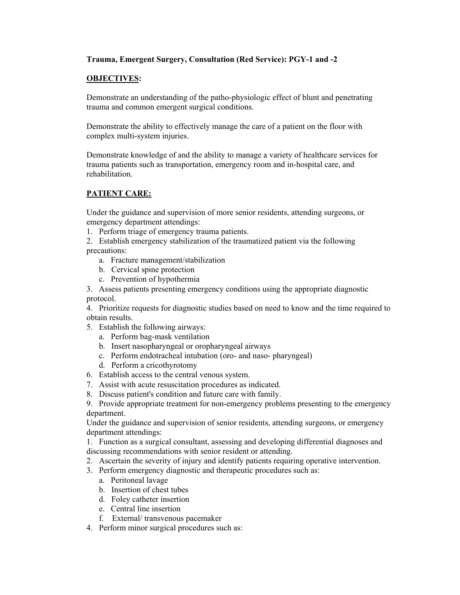## **Trauma, Emergent Surgery, Consultation (Red Service): PGY-1 and -2**

## **OBJECTIVES:**

Demonstrate an understanding of the patho-physiologic effect of blunt and penetrating trauma and common emergent surgical conditions.

Demonstrate the ability to effectively manage the care of a patient on the floor with complex multi-system injuries.

Demonstrate knowledge of and the ability to manage a variety of healthcare services for trauma patients such as transportation, emergency room and in-hospital care, and rehabilitation.

## **PATIENT CARE:**

Under the guidance and supervision of more senior residents, attending surgeons, or emergency department attendings:

1. Perform triage of emergency trauma patients.

2. Establish emergency stabilization of the traumatized patient via the following precautions:

- a. Fracture management/stabilization
- b. Cervical spine protection
- c. Prevention of hypothermia

3. Assess patients presenting emergency conditions using the appropriate diagnostic protocol.

4. Prioritize requests for diagnostic studies based on need to know and the time required to obtain results.

- 5. Establish the following airways:
	- a. Perform bag-mask ventilation
	- b. Insert nasopharyngeal or oropharyngeal airways
	- c. Perform endotracheal intubation (oro- and naso- pharyngeal)
	- d. Perform a cricothyrotomy
- 6. Establish access to the central venous system.
- 7. Assist with acute resuscitation procedures as indicated.
- 8. Discuss patient's condition and future care with family.
- 9. Provide appropriate treatment for non-emergency problems presenting to the emergency department.

Under the guidance and supervision of senior residents, attending surgeons, or emergency department attendings:

1. Function as a surgical consultant, assessing and developing differential diagnoses and discussing recommendations with senior resident or attending.

- 2. Ascertain the severity of injury and identify patients requiring operative intervention.
- 3. Perform emergency diagnostic and therapeutic procedures such as:
	- a. Peritoneal lavage
	- b. Insertion of chest tubes
	- d. Foley catheter insertion
	- e. Central line insertion
	- f. External/ transvenous pacemaker
- 4. Perform minor surgical procedures such as: